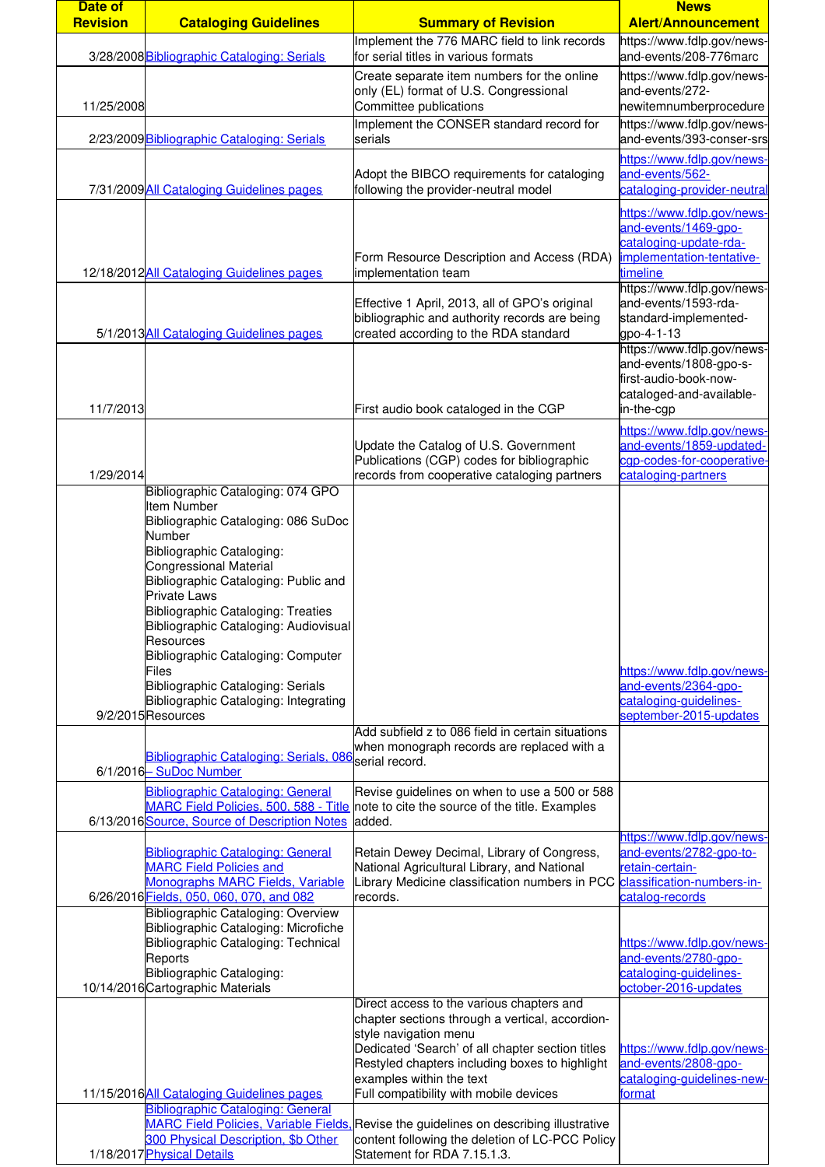| Date of         |                                                                                                                                                                                                                                                                                                                                                                                                                                                        |                                                                                                                                                                                                                                                         | <b>News</b>                                                                                                                                         |
|-----------------|--------------------------------------------------------------------------------------------------------------------------------------------------------------------------------------------------------------------------------------------------------------------------------------------------------------------------------------------------------------------------------------------------------------------------------------------------------|---------------------------------------------------------------------------------------------------------------------------------------------------------------------------------------------------------------------------------------------------------|-----------------------------------------------------------------------------------------------------------------------------------------------------|
| <b>Revision</b> | <b>Cataloging Guidelines</b>                                                                                                                                                                                                                                                                                                                                                                                                                           | <b>Summary of Revision</b>                                                                                                                                                                                                                              | <b>Alert/Announcement</b>                                                                                                                           |
|                 | 3/28/2008 Bibliographic Cataloging: Serials                                                                                                                                                                                                                                                                                                                                                                                                            | Implement the 776 MARC field to link records<br>for serial titles in various formats                                                                                                                                                                    | https://www.fdlp.gov/news-<br>and-events/208-776marc                                                                                                |
| 11/25/2008      |                                                                                                                                                                                                                                                                                                                                                                                                                                                        | Create separate item numbers for the online<br>only (EL) format of U.S. Congressional<br>Committee publications                                                                                                                                         | https://www.fdlp.gov/news-<br>and-events/272-<br>newitemnumberprocedure                                                                             |
|                 | 2/23/2009 Bibliographic Cataloging: Serials                                                                                                                                                                                                                                                                                                                                                                                                            | Implement the CONSER standard record for<br>serials                                                                                                                                                                                                     | https://www.fdlp.gov/news-<br>and-events/393-conser-srs                                                                                             |
|                 | 7/31/2009 All Cataloging Guidelines pages                                                                                                                                                                                                                                                                                                                                                                                                              | Adopt the BIBCO requirements for cataloging<br>following the provider-neutral model                                                                                                                                                                     | https://www.fdlp.gov/news-<br>and-events/562-<br>cataloging-provider-neutral                                                                        |
|                 | 12/18/2012All Cataloging Guidelines pages                                                                                                                                                                                                                                                                                                                                                                                                              | Form Resource Description and Access (RDA)<br>implementation team                                                                                                                                                                                       | https://www.fdlp.gov/news-<br>and-events/1469-gpo-<br>cataloging-update-rda-<br>implementation-tentative-<br>timeline<br>https://www.fdlp.gov/news- |
|                 | 5/1/2013All Cataloging Guidelines pages                                                                                                                                                                                                                                                                                                                                                                                                                | Effective 1 April, 2013, all of GPO's original<br>bibliographic and authority records are being<br>created according to the RDA standard                                                                                                                | and-events/1593-rda-<br>standard-implemented-<br>gpo-4-1-13                                                                                         |
| 11/7/2013       |                                                                                                                                                                                                                                                                                                                                                                                                                                                        | First audio book cataloged in the CGP                                                                                                                                                                                                                   | https://www.fdlp.gov/news-<br>and-events/1808-gpo-s-<br>first-audio-book-now-<br>cataloged-and-available-<br>in-the-cgp                             |
| 1/29/2014       |                                                                                                                                                                                                                                                                                                                                                                                                                                                        | Update the Catalog of U.S. Government<br>Publications (CGP) codes for bibliographic<br>records from cooperative cataloging partners                                                                                                                     | https://www.fdlp.gov/news-<br>and-events/1859-updated-<br>cgp-codes-for-cooperative-<br>cataloging-partners                                         |
|                 | Item Number<br>Bibliographic Cataloging: 086 SuDoc<br>Number<br>Bibliographic Cataloging:<br><b>Congressional Material</b><br>Bibliographic Cataloging: Public and<br><b>Private Laws</b><br><b>Bibliographic Cataloging: Treaties</b><br>Bibliographic Cataloging: Audiovisual<br><b>Resources</b><br>Bibliographic Cataloging: Computer<br>Files<br>Bibliographic Cataloging: Serials<br>Bibliographic Cataloging: Integrating<br>9/2/2015 Resources |                                                                                                                                                                                                                                                         | https://www.fdlp.gov/news-<br>and-events/2364-gpo-<br>cataloging-guidelines-<br>september-2015-updates                                              |
|                 | Bibliographic Cataloging: Serials, 086 serial record.<br>6/1/2016-SuDoc Number                                                                                                                                                                                                                                                                                                                                                                         | Add subfield z to 086 field in certain situations<br>when monograph records are replaced with a                                                                                                                                                         |                                                                                                                                                     |
|                 | <b>Bibliographic Cataloging: General</b><br>6/13/2016 Source, Source of Description Notes                                                                                                                                                                                                                                                                                                                                                              | Revise guidelines on when to use a 500 or 588<br>MARC Field Policies, 500, 588 - Title note to cite the source of the title. Examples<br>added.                                                                                                         | https://www.fdlp.gov/news-                                                                                                                          |
|                 | <b>Bibliographic Cataloging: General</b><br><b>MARC Field Policies and</b><br><b>Monographs MARC Fields, Variable</b><br>6/26/2016 Fields, 050, 060, 070, and 082                                                                                                                                                                                                                                                                                      | Retain Dewey Decimal, Library of Congress,<br>National Agricultural Library, and National<br>Library Medicine classification numbers in PCC<br>records.                                                                                                 | and-events/2782-gpo-to-<br>retain-certain-<br>classification-numbers-in-<br>catalog-records                                                         |
|                 | <b>Bibliographic Cataloging: Overview</b><br>Bibliographic Cataloging: Microfiche<br>Bibliographic Cataloging: Technical<br>Reports<br>Bibliographic Cataloging:<br>10/14/2016 Cartographic Materials                                                                                                                                                                                                                                                  |                                                                                                                                                                                                                                                         | https://www.fdlp.gov/news-<br>and-events/2780-gpo-<br>cataloging-guidelines-<br>october-2016-updates                                                |
|                 |                                                                                                                                                                                                                                                                                                                                                                                                                                                        | Direct access to the various chapters and<br>chapter sections through a vertical, accordion-<br>style navigation menu<br>Dedicated 'Search' of all chapter section titles<br>Restyled chapters including boxes to highlight<br>examples within the text | https://www.fdlp.gov/news-<br>and-events/2808-gpo-<br>cataloging-guidelines-new-                                                                    |
|                 | 11/15/2016All Cataloging Guidelines pages<br><b>Bibliographic Cataloging: General</b><br>300 Physical Description, \$b Other                                                                                                                                                                                                                                                                                                                           | Full compatibility with mobile devices<br>MARC Field Policies, Variable Fields, Revise the guidelines on describing illustrative<br>content following the deletion of LC-PCC Policy                                                                     | format                                                                                                                                              |
|                 | 1/18/2017 Physical Details                                                                                                                                                                                                                                                                                                                                                                                                                             | Statement for RDA 7.15.1.3.                                                                                                                                                                                                                             |                                                                                                                                                     |